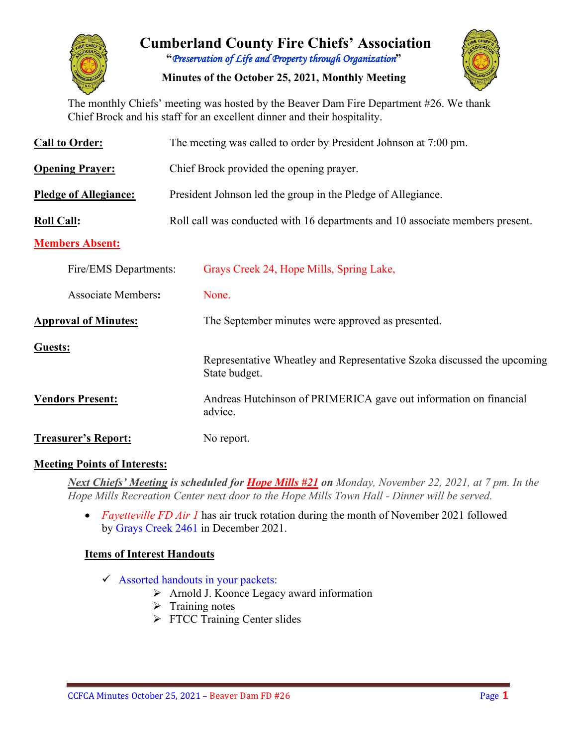

# **Cumberland County Fire Chiefs' Association "***Preservation of Life and Property through Organization***"**

**Minutes of the October 25, 2021, Monthly Meeting**

The monthly Chiefs' meeting was hosted by the Beaver Dam Fire Department #26. We thank Chief Brock and his staff for an excellent dinner and their hospitality.

| <b>Call to Order:</b>        | The meeting was called to order by President Johnson at 7:00 pm.                         |  |  |  |  |  |  |  |
|------------------------------|------------------------------------------------------------------------------------------|--|--|--|--|--|--|--|
| <b>Opening Prayer:</b>       | Chief Brock provided the opening prayer.                                                 |  |  |  |  |  |  |  |
| <b>Pledge of Allegiance:</b> | President Johnson led the group in the Pledge of Allegiance.                             |  |  |  |  |  |  |  |
| <b>Roll Call:</b>            | Roll call was conducted with 16 departments and 10 associate members present.            |  |  |  |  |  |  |  |
| <b>Members Absent:</b>       |                                                                                          |  |  |  |  |  |  |  |
| Fire/EMS Departments:        | Grays Creek 24, Hope Mills, Spring Lake,                                                 |  |  |  |  |  |  |  |
| <b>Associate Members:</b>    | None.                                                                                    |  |  |  |  |  |  |  |
| <b>Approval of Minutes:</b>  | The September minutes were approved as presented.                                        |  |  |  |  |  |  |  |
| Guests:                      | Representative Wheatley and Representative Szoka discussed the upcoming<br>State budget. |  |  |  |  |  |  |  |
| <b>Vendors Present:</b>      | Andreas Hutchinson of PRIMERICA gave out information on financial<br>advice.             |  |  |  |  |  |  |  |
| <b>Treasurer's Report:</b>   | No report.                                                                               |  |  |  |  |  |  |  |

#### **Meeting Points of Interests:**

*Next Chiefs' Meeting is scheduled for Hope Mills #21 on Monday, November 22, 2021, at 7 pm. In the Hope Mills Recreation Center next door to the Hope Mills Town Hall - Dinner will be served.* 

• *Fayetteville FD Air 1* has air truck rotation during the month of November 2021 followed by Grays Creek 2461 in December 2021.

#### **Items of Interest Handouts**

- $\checkmark$  Assorted handouts in your packets:
	- $\triangleright$  Arnold J. Koonce Legacy award information
	- $\triangleright$  Training notes
	- > FTCC Training Center slides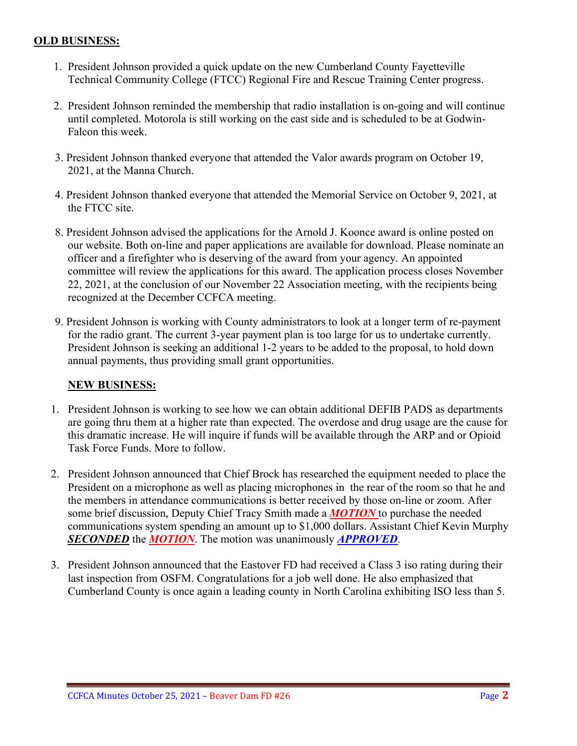#### **OLD BUSINESS:**

- 1. President Johnson provided a quick update on the new Cumberland County Fayetteville Technical Community College (FTCC) Regional Fire and Rescue Training Center progress.
- 2. President Johnson reminded the membership that radio installation is on-going and will continue until completed. Motorola is still working on the east side and is scheduled to be at Godwin-Falcon this week.
- 3. President Johnson thanked everyone that attended the Valor awards program on October 19, 2021, at the Manna Church.
- 4. President Johnson thanked everyone that attended the Memorial Service on October 9, 2021, at the FTCC site.
- 8. President Johnson advised the applications for the Arnold J. Koonce award is online posted on our website. Both on-line and paper applications are available for download. Please nominate an officer and a firefighter who is deserving of the award from your agency. An appointed committee will review the applications for this award. The application process closes November 22, 2021, at the conclusion of our November 22 Association meeting, with the recipients being recognized at the December CCFCA meeting.
- 9. President Johnson is working with County administrators to look at a longer term of re-payment for the radio grant. The current 3-year payment plan is too large for us to undertake currently. President Johnson is seeking an additional 1-2 years to be added to the proposal, to hold down annual payments, thus providing small grant opportunities.

#### **NEW BUSINESS:**

- 1. President Johnson is working to see how we can obtain additional DEFIB PADS as departments are going thru them at a higher rate than expected. The overdose and drug usage are the cause for this dramatic increase. He will inquire if funds will be available through the ARP and or Opioid Task Force Funds. More to follow.
- 2. President Johnson announced that Chief Brock has researched the equipment needed to place the President on a microphone as well as placing microphones in the rear of the room so that he and the members in attendance communications is better received by those on-line or zoom. After some brief discussion, Deputy Chief Tracy Smith made a *MOTION* to purchase the needed communications system spending an amount up to \$1,000 dollars. Assistant Chief Kevin Murphy *SECONDED* the *MOTION*. The motion was unanimously *APPROVED*.
- 3. President Johnson announced that the Eastover FD had received a Class 3 iso rating during their last inspection from OSFM. Congratulations for a job well done. He also emphasized that Cumberland County is once again a leading county in North Carolina exhibiting ISO less than 5.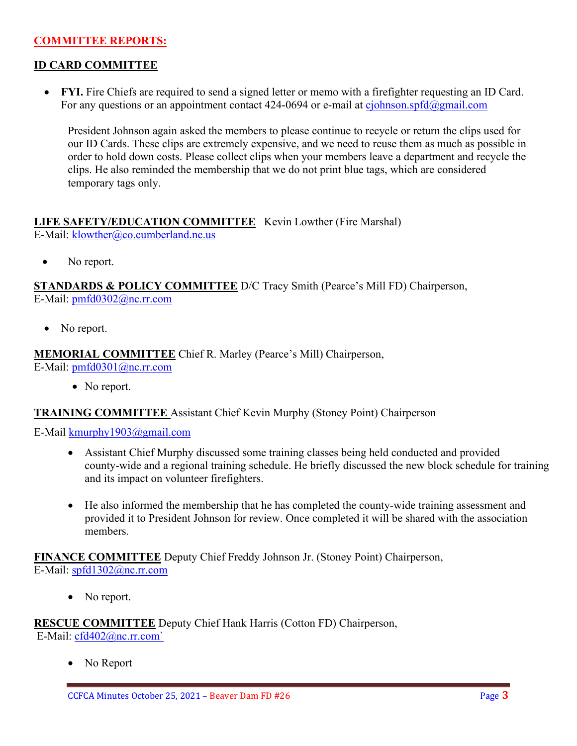#### **COMMITTEE REPORTS:**

#### **ID CARD COMMITTEE**

• **FYI.** Fire Chiefs are required to send a signed letter or memo with a firefighter requesting an ID Card. For any questions or an appointment contact 424-0694 or e-mail at [cjohnson.spfd@gmail.com](mailto:cjohnson.spfd@gmail.com)

President Johnson again asked the members to please continue to recycle or return the clips used for our ID Cards. These clips are extremely expensive, and we need to reuse them as much as possible in order to hold down costs. Please collect clips when your members leave a department and recycle the clips. He also reminded the membership that we do not print blue tags, which are considered temporary tags only.

# **LIFE SAFETY/EDUCATION COMMITTEE** Kevin Lowther (Fire Marshal)

E-Mail: [klowther@co.cumberland.nc.us](mailto:klowther@co.cumberland.nc.us)

• No report.

**STANDARDS & POLICY COMMITTEE** D/C Tracy Smith (Pearce's Mill FD) Chairperson, E-Mail: [pmfd0302@nc.rr.com](mailto:pmfd0302@nc.rr.com)

• No report.

## **MEMORIAL COMMITTEE** Chief R. Marley (Pearce's Mill) Chairperson,

E-Mail: [pmfd0301@nc.rr.com](mailto:pmfd0301@nc.rr.com)

• No report.

#### **TRAINING COMMITTEE** Assistant Chief Kevin Murphy (Stoney Point) Chairperson

E-Mail [kmurphy1903@gmail.com](mailto:kmurphy1903@gmail.com)

- Assistant Chief Murphy discussed some training classes being held conducted and provided county-wide and a regional training schedule. He briefly discussed the new block schedule for training and its impact on volunteer firefighters.
- He also informed the membership that he has completed the county-wide training assessment and provided it to President Johnson for review. Once completed it will be shared with the association members.

**FINANCE COMMITTEE** Deputy Chief Freddy Johnson Jr. (Stoney Point) Chairperson, E-Mail: [spfd1302@nc.rr.com](mailto:spfd1302@nc.rr.com)

• No report.

**RESCUE COMMITTEE** Deputy Chief Hank Harris (Cotton FD) Chairperson, E-Mail: [cfd402@nc.rr.com`](mailto:cfd402@nc.rr.com)

No Report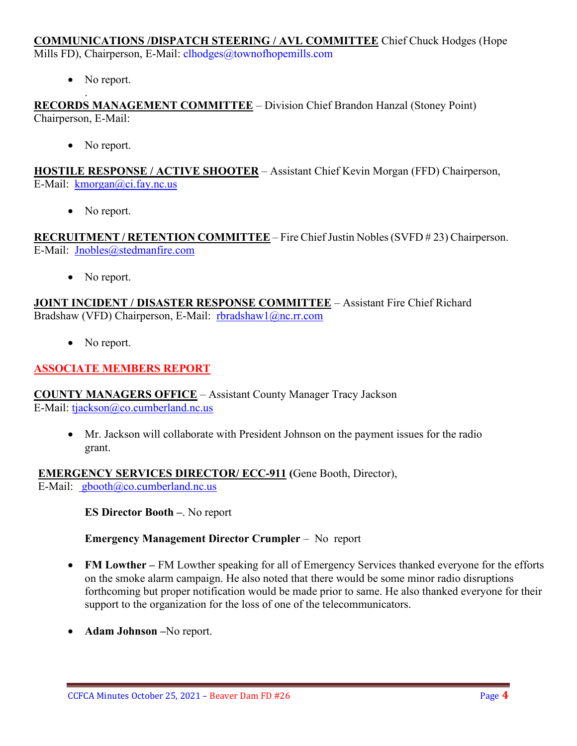#### **COMMUNICATIONS /DISPATCH STEERING / AVL COMMITTEE** Chief Chuck Hodges (Hope Mills FD), Chairperson, E-Mail: clhodges@townofhopemills.com

• No report.

. **RECORDS MANAGEMENT COMMITTEE** – Division Chief Brandon Hanzal (Stoney Point) Chairperson, E-Mail:

• No report.

**HOSTILE RESPONSE / ACTIVE SHOOTER** – Assistant Chief Kevin Morgan (FFD) Chairperson, E-Mail: [kmorgan@ci.fay.nc.us](mailto:kmorgan@ci.fay.nc.us)

• No report.

**RECRUITMENT / RETENTION COMMITTEE** – Fire Chief Justin Nobles (SVFD # 23) Chairperson. E-Mail: [Jnobles@stedmanfire.com](mailto:Jnobles@stedmanfire.com)

• No report.

**JOINT INCIDENT / DISASTER RESPONSE COMMITTEE** – Assistant Fire Chief Richard Bradshaw (VFD) Chairperson, E-Mail: [rbradshaw1@nc.rr.com](mailto:rbradshaw1@nc.rr.com)

• No report.

## **ASSOCIATE MEMBERS REPORT**

**COUNTY MANAGERS OFFICE** – Assistant County Manager Tracy Jackson E-Mail: [tjackson@co.cumberland.nc.us](mailto:tjackson@co.cumberland.nc.us)

• Mr. Jackson will collaborate with President Johnson on the payment issues for the radio grant.

**EMERGENCY SERVICES DIRECTOR/ ECC-911 (**Gene Booth, Director), E-Mail:  $\text{gbooth}(\partial \text{co.cumberland}.\text{nc.us})$ 

**ES Director Booth –**. No report

**Emergency Management Director Crumpler** – No report

- **FM Lowther –** FM Lowther speaking for all of Emergency Services thanked everyone for the efforts on the smoke alarm campaign. He also noted that there would be some minor radio disruptions forthcoming but proper notification would be made prior to same. He also thanked everyone for their support to the organization for the loss of one of the telecommunicators.
- **Adam Johnson –**No report.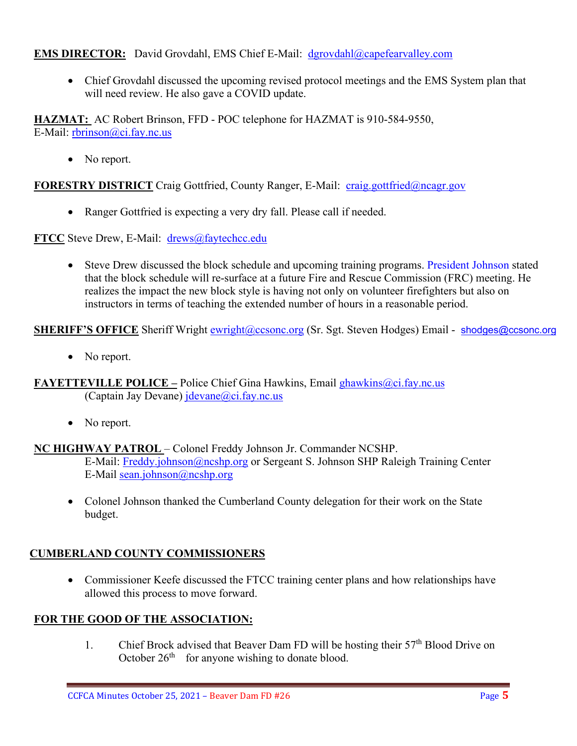## **EMS DIRECTOR:** David Grovdahl, EMS Chief E-Mail: [dgrovdahl@capefearvalley.com](mailto:dgrovdahl@capefearvalley.com)

• Chief Grovdahl discussed the upcoming revised protocol meetings and the EMS System plan that will need review. He also gave a COVID update.

**HAZMAT:** AC Robert Brinson, FFD - POC telephone for HAZMAT is 910-584-9550, E-Mail: [rbrinson@ci.fay.nc.us](mailto:rbrinson@ci.fay.nc.us)

• No report.

**FORESTRY DISTRICT** Craig Gottfried, County Ranger, E-Mail: [craig.gottfried@ncagr.gov](mailto:craig.gottfried@ncagr.gov)

• Ranger Gottfried is expecting a very dry fall. Please call if needed.

**FTCC** Steve Drew, E-Mail: [drews@faytechcc.edu](mailto:drews@faytechcc.edu)

• Steve Drew discussed the block schedule and upcoming training programs. President Johnson stated that the block schedule will re-surface at a future Fire and Rescue Commission (FRC) meeting. He realizes the impact the new block style is having not only on volunteer firefighters but also on instructors in terms of teaching the extended number of hours in a reasonable period.

**SHERIFF'S OFFICE** Sheriff Wright [ewright@ccsonc.org](mailto:ewright@ccsonc.org) (Sr. Sgt. Steven Hodges) Email - [shodges@ccsonc.org](mailto:shodges@ccsonc.org)

• No report.

**FAYETTEVILLE POLICE –** Police Chief Gina Hawkins, Email [ghawkins@ci.fay.nc.us](mailto:ghawkins@ci.fay.nc.us)  (Captain Jay Devane)  $idevane@ci.fay.nc.us$ 

• No report.

#### **NC HIGHWAY PATROL** – Colonel Freddy Johnson Jr. Commander NCSHP.

E-Mail: [Freddy.johnson@ncshp.org](mailto:Freddy.johnson@ncshp.org) or Sergeant S. Johnson SHP Raleigh Training Center E-Mail [sean.johnson@ncshp.org](mailto:sean.johnson@ncshp.org)

• Colonel Johnson thanked the Cumberland County delegation for their work on the State budget.

# **CUMBERLAND COUNTY COMMISSIONERS**

• Commissioner Keefe discussed the FTCC training center plans and how relationships have allowed this process to move forward.

#### **FOR THE GOOD OF THE ASSOCIATION:**

1. Chief Brock advised that Beaver Dam FD will be hosting their  $57<sup>th</sup>$  Blood Drive on October  $26<sup>th</sup>$  for anyone wishing to donate blood.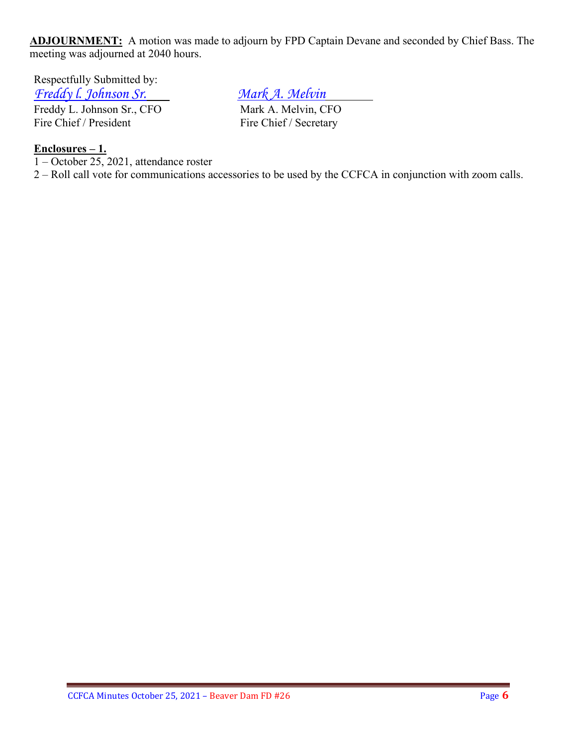**ADJOURNMENT:** A motion was made to adjourn by FPD Captain Devane and seconded by Chief Bass. The meeting was adjourned at 2040 hours.

Respectfully Submitted by: *Freddy I. Johnson Sr.*<br> *Freddy L. Johnson Sr., CFO Mark A. Melvin, CFO* 

Freddy L. Johnson Sr., CFO Fire Chief / President Fire Chief / Secretary

# **Enclosures – 1.**

 $\overline{1 - \text{October 25}}$ , 2021, attendance roster

2 – Roll call vote for communications accessories to be used by the CCFCA in conjunction with zoom calls.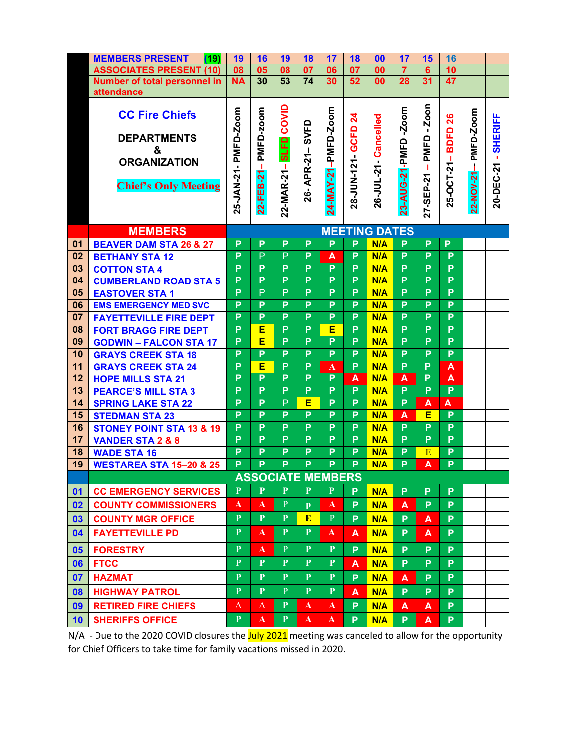|          | <b>MEMBERS PRESENT</b><br>(19)                      | 19                   | 16             | 19             | 18           | 17                       | 18              | 00                    | 17             | 15             | 16               |            |                     |
|----------|-----------------------------------------------------|----------------------|----------------|----------------|--------------|--------------------------|-----------------|-----------------------|----------------|----------------|------------------|------------|---------------------|
|          | <b>ASSOCIATES PRESENT (10)</b>                      | 08                   | 05             | 08             | 07           | 06                       | 07              | 00                    | $\overline{7}$ | 6 <sup>1</sup> | 10               |            |                     |
|          | <b>Number of total personnel in</b>                 | <b>NA</b>            | 30             | 53             | 74           | 30                       | 52              | 00                    | 28             | 31             | 47               |            |                     |
|          | attendance                                          |                      |                |                |              |                          |                 |                       |                |                |                  |            |                     |
|          | <b>CC Fire Chiefs</b>                               |                      |                |                |              |                          |                 |                       |                | Zoon           |                  |            |                     |
|          |                                                     |                      | PMFD-zoom      | COVID          |              | 24-MAY-21-PMFD-Zoom      | $\mathbf{z}$    | 26-JUL-21 - Cancelled | $-200m$        |                | 26               | PMFD-Zoom  | 20-DEC-21 - SHERIFF |
|          | <b>DEPARTMENTS</b>                                  |                      |                |                | SVFD         |                          |                 |                       |                | ٠              | <b>BDFD</b>      |            |                     |
|          | &                                                   |                      |                | <b>SLFD</b>    |              |                          |                 |                       |                | PMFD           |                  |            |                     |
|          | <b>ORGANIZATION</b>                                 |                      |                |                | APR-21-      |                          |                 |                       |                |                |                  |            |                     |
|          |                                                     |                      | т.             |                |              |                          |                 |                       |                | т              |                  |            |                     |
|          | <b>Chief's Only Meeting</b>                         |                      | 22-FEB-21      | 22-MAR-21-     |              |                          | 28-JUN-121 GCFD |                       | 23-AUG-21-PMFD |                | 25-OCT-21-       | 22-NOV-21- |                     |
|          |                                                     | 25-JAN-21- PMFD-Zoom |                |                | 26-          |                          |                 |                       |                |                |                  |            |                     |
|          |                                                     |                      |                |                |              |                          |                 |                       |                | 27-SEP-21      |                  |            |                     |
|          |                                                     | <b>MEETING DATES</b> |                |                |              |                          |                 |                       |                |                |                  |            |                     |
|          | <b>MEMBERS</b>                                      | P                    | P              | P              | P            | P                        | P               | N/A                   | P              | P              | P                |            |                     |
| 01<br>02 | <b>BEAVER DAM STA 26 &amp; 27</b>                   | P                    | P              | P              | P            | A                        | P               | N/A                   | P              | P              | P                |            |                     |
| 03       | <b>BETHANY STA 12</b>                               | P                    | P              | P              | P            | P                        | P               | N/A                   | P              | P              | P                |            |                     |
| 04       | <b>COTTON STA 4</b><br><b>CUMBERLAND ROAD STA 5</b> | P                    | P              | P              | P            | P                        | P               | N/A                   | P              | P              | P                |            |                     |
| 05       | <b>EASTOVER STA1</b>                                | $\overline{P}$       | $\overline{P}$ | $\overline{P}$ | P            | P                        | P               | N/A                   | $\overline{P}$ | P              | $\overline{P}$   |            |                     |
| 06       | <b>EMS EMERGENCY MED SVC</b>                        | P                    | P              | P              | P            | P                        | $\overline{P}$  | N/A                   | P              | P              | $\overline{P}$   |            |                     |
| 07       | <b>FAYETTEVILLE FIRE DEPT</b>                       | P                    | P              | P              | P            | P                        | P               | N/A                   | P              | P              | P                |            |                     |
| 08       | <b>FORT BRAGG FIRE DEPT</b>                         | P                    | Е              | P              | P            | Е                        | P               | N/A                   | P              | P              | P                |            |                     |
| 09       | <b>GODWIN - FALCON STA 17</b>                       | P                    | Ē              | P              | P            | P                        | P               | N/A                   | P              | P              | P                |            |                     |
| 10       | <b>GRAYS CREEK STA 18</b>                           | P                    | P              | P              | P            | P                        | P               | N/A                   | P              | P              | P                |            |                     |
| 11       | <b>GRAYS CREEK STA 24</b>                           | P                    | Е              | $\overline{P}$ | P            | $\mathbf{A}$             | P               | N/A                   | P              | P              | $\blacktriangle$ |            |                     |
| 12       | <b>HOPE MILLS STA 21</b>                            | P                    | P              | P              | P            | P                        | A               | N/A                   | A              | P              | $\mathbf{A}$     |            |                     |
| 13       | <b>PEARCE'S MILL STA 3</b>                          | P                    | P              | P              | P            | P                        | P               | N/A                   | P              | P              | P                |            |                     |
| 14       | <b>SPRING LAKE STA 22</b>                           | $\overline{P}$       | P              | P              | Е            | P                        | P               | N/A                   | P              | A              | A                |            |                     |
| 15       | <b>STEDMAN STA 23</b>                               | P                    | P              | P              | P            | P                        | P               | N/A                   | A              | Ē              | P                |            |                     |
| 16       | <b>STONEY POINT STA 13 &amp; 19</b>                 | P                    | P              | P              | P            | P                        | P               | N/A                   | P              | P              | P                |            |                     |
| 17       | <b>VANDER STA 2 &amp; 8</b>                         | $\overline{P}$       | $\overline{P}$ | $\overline{P}$ | P            | P                        | P               | N/A                   | $\overline{P}$ | $\overline{P}$ | $\overline{P}$   |            |                     |
| 18       | <b>WADE STA 16</b>                                  | P                    | P              | P              | P            | P                        | P               | N/A                   | P              | E              | P                |            |                     |
| 19       | <b>WESTAREA STA 15-20 &amp; 25</b>                  | P                    | P              | P              | P            | P.                       | P               | N/A                   | P              | A              | P.               |            |                     |
|          |                                                     |                      |                |                |              | <b>ASSOCIATE MEMBERS</b> |                 |                       |                |                |                  |            |                     |
| 01       | <b>CC EMERGENCY SERVICES</b>                        | P.                   | $\mathbf{P}$   | P              | P.           | $\mathbf{P}$             | P               | N/A                   | P              | P              | P                |            |                     |
| 02       | <b>COUNTY COMMISSIONERS</b>                         | ${\bf A}$            | ${\bf A}$      | $\mathbf{P}$   | $\mathbf{p}$ | $\mathbf{A}$             | P               | N/A                   | A              | P              | P                |            |                     |
| 03       | <b>COUNTY MGR OFFICE</b>                            | P                    | P              | $\mathbf{P}$   | E            | $\mathbf{P}$             | P               | N/A                   | P              | A              | P                |            |                     |
| 04       | <b>FAYETTEVILLE PD</b>                              | $\mathbf{P}$         | A.             | $\mathbf{P}$   | $\mathbf{P}$ | $\mathbf{A}$             | A               | N/A                   | P              | A              | P                |            |                     |
| 05       | <b>FORESTRY</b>                                     | $\mathbf{P}$         | A.             | P              | $\mathbf{P}$ | P                        | P               | N/A                   | P              | P              | P                |            |                     |
| 06       | <b>FTCC</b>                                         | $\mathbf{P}$         | $\mathbf{P}$   | P              | $\mathbf{P}$ | $\mathbf{P}$             | A               | N/A                   | P              | P              | P                |            |                     |
| 07       | <b>HAZMAT</b>                                       | $\mathbf{P}$         | $\mathbf{P}$   | P              | $\mathbf{P}$ | $\mathbf{P}$             | P               | N/A                   | A              | P              | P                |            |                     |
| 08       | <b>HIGHWAY PATROL</b>                               | $\mathbf{P}$         | $\mathbf{P}$   | P              | $\mathbf{P}$ | $\mathbf{P}$             | A               | N/A                   | P.             | P              | P.               |            |                     |
| 09       | <b>RETIRED FIRE CHIEFS</b>                          | A                    | A.             | P              | $\mathbf{A}$ | $\mathbf{A}$             | P.              | N/A                   | A              | A              | P.               |            |                     |
| 10       | <b>SHERIFFS OFFICE</b>                              | P                    | ${\bf A}$      | P              | $\mathbf{A}$ | $\mathbf{A}$             | P.              | N/A                   | P.             | A              | P.               |            |                     |

N/A - Due to the 2020 COVID closures the July 2021 meeting was canceled to allow for the opportunity for Chief Officers to take time for family vacations missed in 2020.